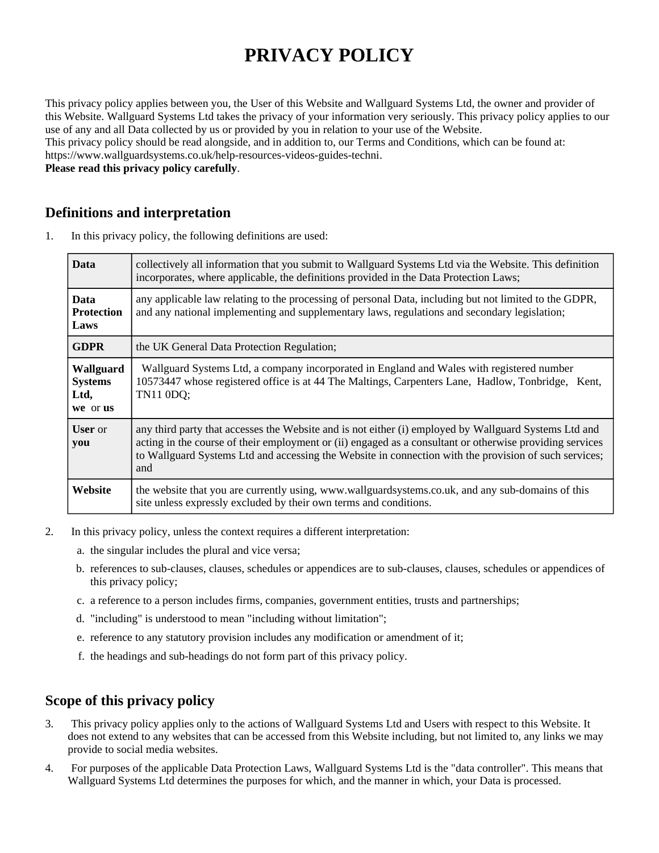# **PRIVACY POLICY**

This privacy policy applies between you, the User of this Website and Wallguard Systems Ltd, the owner and provider of this Website. Wallguard Systems Ltd takes the privacy of your information very seriously. This privacy policy applies to our use of any and all Data collected by us or provided by you in relation to your use of the Website. This privacy policy should be read alongside, and in addition to, our Terms and Conditions, which can be found at: https://www.wallguardsystems.co.uk/help-resources-videos-guides-techni. **Please read this privacy policy carefully**.

## **Definitions and interpretation**

1. In this privacy policy, the following definitions are used:

| <b>Data</b>                                     | collectively all information that you submit to Wallguard Systems Ltd via the Website. This definition<br>incorporates, where applicable, the definitions provided in the Data Protection Laws;                                                                                                                                   |
|-------------------------------------------------|-----------------------------------------------------------------------------------------------------------------------------------------------------------------------------------------------------------------------------------------------------------------------------------------------------------------------------------|
| <b>Data</b><br><b>Protection</b><br>Laws        | any applicable law relating to the processing of personal Data, including but not limited to the GDPR,<br>and any national implementing and supplementary laws, regulations and secondary legislation;                                                                                                                            |
| <b>GDPR</b>                                     | the UK General Data Protection Regulation;                                                                                                                                                                                                                                                                                        |
| Wallguard<br><b>Systems</b><br>Ltd,<br>we or us | Wallguard Systems Ltd, a company incorporated in England and Wales with registered number<br>10573447 whose registered office is at 44 The Maltings, Carpenters Lane, Hadlow, Tonbridge, Kent,<br>TN11 0DQ;                                                                                                                       |
| <b>User</b> or<br>you                           | any third party that accesses the Website and is not either (i) employed by Wallguard Systems Ltd and<br>acting in the course of their employment or (ii) engaged as a consultant or otherwise providing services<br>to Wallguard Systems Ltd and accessing the Website in connection with the provision of such services;<br>and |
| Website                                         | the website that you are currently using, www.wallguardsystems.co.uk, and any sub-domains of this<br>site unless expressly excluded by their own terms and conditions.                                                                                                                                                            |

- 2. In this privacy policy, unless the context requires a different interpretation:
	- a. the singular includes the plural and vice versa;
	- b. references to sub-clauses, clauses, schedules or appendices are to sub-clauses, clauses, schedules or appendices of this privacy policy;
	- c. a reference to a person includes firms, companies, government entities, trusts and partnerships;
	- d. "including" is understood to mean "including without limitation";
	- e. reference to any statutory provision includes any modification or amendment of it;
	- f. the headings and sub-headings do not form part of this privacy policy.

# **Scope of this privacy policy**

- 3. This privacy policy applies only to the actions of Wallguard Systems Ltd and Users with respect to this Website. It does not extend to any websites that can be accessed from this Website including, but not limited to, any links we may provide to social media websites.
- 4. For purposes of the applicable Data Protection Laws, Wallguard Systems Ltd is the "data controller". This means that Wallguard Systems Ltd determines the purposes for which, and the manner in which, your Data is processed.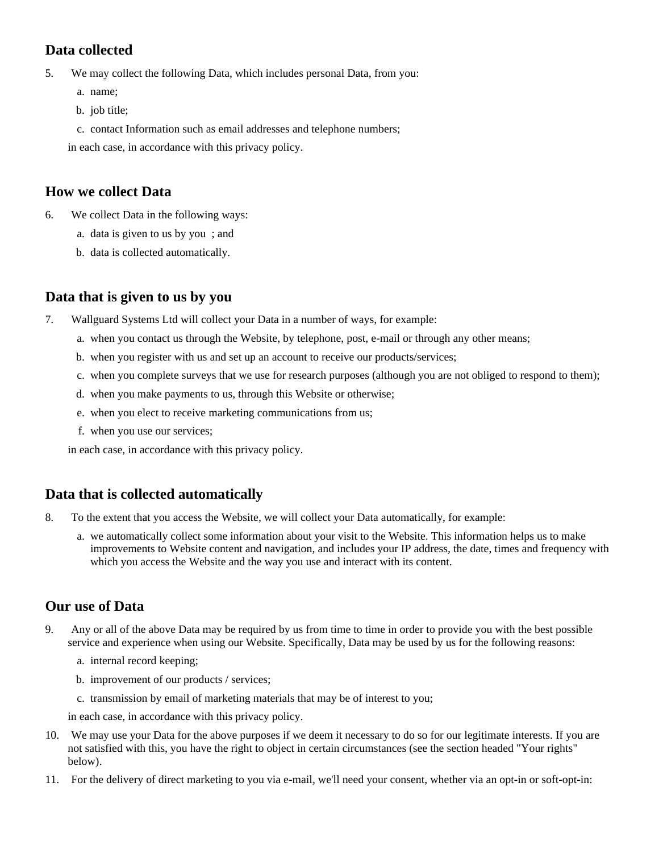# **Data collected**

5. We may collect the following Data, which includes personal Data, from you:

- a. name;
- b. job title;
- c. contact Information such as email addresses and telephone numbers;

in each case, in accordance with this privacy policy.

## **How we collect Data**

- 6. We collect Data in the following ways:
	- a. data is given to us by you ; and
	- b. data is collected automatically.

## **Data that is given to us by you**

- 7. Wallguard Systems Ltd will collect your Data in a number of ways, for example:
	- a. when you contact us through the Website, by telephone, post, e-mail or through any other means;
	- b. when you register with us and set up an account to receive our products/services;
	- c. when you complete surveys that we use for research purposes (although you are not obliged to respond to them);
	- d. when you make payments to us, through this Website or otherwise;
	- e. when you elect to receive marketing communications from us;
	- f. when you use our services;

in each case, in accordance with this privacy policy.

## **Data that is collected automatically**

- 8. To the extent that you access the Website, we will collect your Data automatically, for example:
	- a. we automatically collect some information about your visit to the Website. This information helps us to make improvements to Website content and navigation, and includes your IP address, the date, times and frequency with which you access the Website and the way you use and interact with its content.

## **Our use of Data**

- 9. Any or all of the above Data may be required by us from time to time in order to provide you with the best possible service and experience when using our Website. Specifically, Data may be used by us for the following reasons:
	- a. internal record keeping;
	- b. improvement of our products / services;
	- c. transmission by email of marketing materials that may be of interest to you;

in each case, in accordance with this privacy policy.

- 10. We may use your Data for the above purposes if we deem it necessary to do so for our legitimate interests. If you are not satisfied with this, you have the right to object in certain circumstances (see the section headed "Your rights" below).
- 11. For the delivery of direct marketing to you via e-mail, we'll need your consent, whether via an opt-in or soft-opt-in: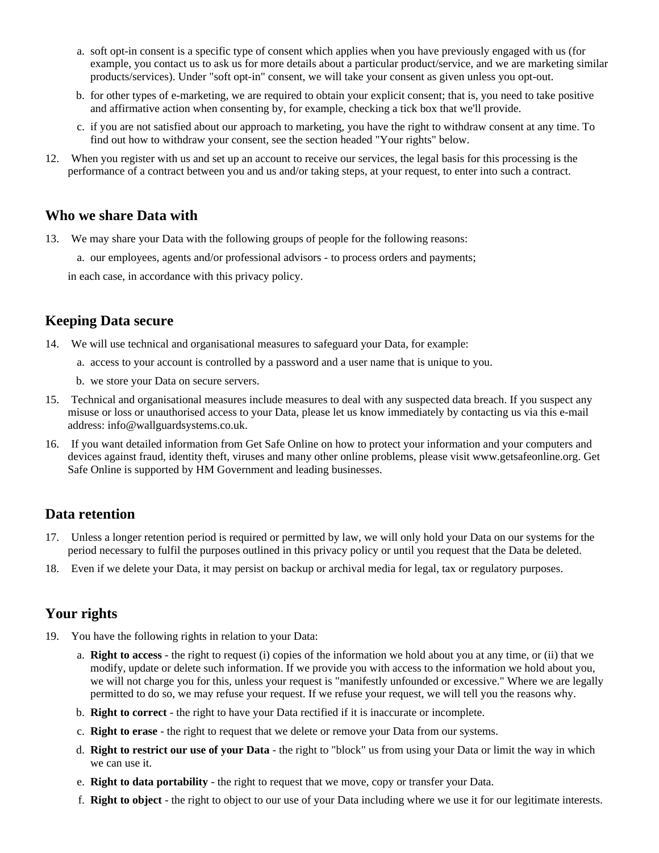- a. soft opt-in consent is a specific type of consent which applies when you have previously engaged with us (for example, you contact us to ask us for more details about a particular product/service, and we are marketing similar products/services). Under "soft opt-in" consent, we will take your consent as given unless you opt-out.
- b. for other types of e-marketing, we are required to obtain your explicit consent; that is, you need to take positive and affirmative action when consenting by, for example, checking a tick box that we'll provide.
- c. if you are not satisfied about our approach to marketing, you have the right to withdraw consent at any time. To find out how to withdraw your consent, see the section headed "Your rights" below.
- 12. When you register with us and set up an account to receive our services, the legal basis for this processing is the performance of a contract between you and us and/or taking steps, at your request, to enter into such a contract.

#### **Who we share Data with**

- 13. We may share your Data with the following groups of people for the following reasons:
	- a. our employees, agents and/or professional advisors to process orders and payments;

in each case, in accordance with this privacy policy.

#### **Keeping Data secure**

14. We will use technical and organisational measures to safeguard your Data, for example:

- a. access to your account is controlled by a password and a user name that is unique to you.
- b. we store your Data on secure servers.
- 15. Technical and organisational measures include measures to deal with any suspected data breach. If you suspect any misuse or loss or unauthorised access to your Data, please let us know immediately by contacting us via this e-mail address: info@wallguardsystems.co.uk.
- 16. If you want detailed information from Get Safe Online on how to protect your information and your computers and devices against fraud, identity theft, viruses and many other online problems, please visit www.getsafeonline.org. Get Safe Online is supported by HM Government and leading businesses.

#### **Data retention**

- 17. Unless a longer retention period is required or permitted by law, we will only hold your Data on our systems for the period necessary to fulfil the purposes outlined in this privacy policy or until you request that the Data be deleted.
- 18. Even if we delete your Data, it may persist on backup or archival media for legal, tax or regulatory purposes.

#### **Your rights**

- 19. You have the following rights in relation to your Data:
	- a. **Right to access** the right to request (i) copies of the information we hold about you at any time, or (ii) that we modify, update or delete such information. If we provide you with access to the information we hold about you, we will not charge you for this, unless your request is "manifestly unfounded or excessive." Where we are legally permitted to do so, we may refuse your request. If we refuse your request, we will tell you the reasons why.
	- b. **Right to correct** the right to have your Data rectified if it is inaccurate or incomplete.
	- c. **Right to erase** the right to request that we delete or remove your Data from our systems.
	- d. **Right to restrict our use of your Data** the right to "block" us from using your Data or limit the way in which we can use it.
	- e. **Right to data portability** the right to request that we move, copy or transfer your Data.
	- f. **Right to object** the right to object to our use of your Data including where we use it for our legitimate interests.